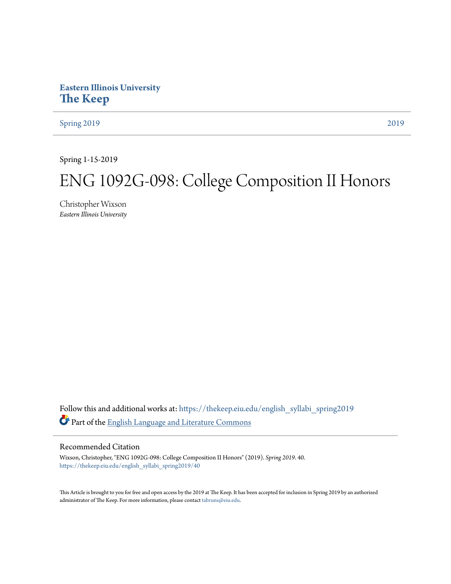## **Eastern Illinois University [The Keep](https://thekeep.eiu.edu?utm_source=thekeep.eiu.edu%2Fenglish_syllabi_spring2019%2F40&utm_medium=PDF&utm_campaign=PDFCoverPages)**

[Spring 2019](https://thekeep.eiu.edu/english_syllabi_spring2019?utm_source=thekeep.eiu.edu%2Fenglish_syllabi_spring2019%2F40&utm_medium=PDF&utm_campaign=PDFCoverPages) [2019](https://thekeep.eiu.edu/english_syllabi2019?utm_source=thekeep.eiu.edu%2Fenglish_syllabi_spring2019%2F40&utm_medium=PDF&utm_campaign=PDFCoverPages)

Spring 1-15-2019

# ENG 1092G-098: College Composition II Honors

Christopher Wixson *Eastern Illinois University*

Follow this and additional works at: [https://thekeep.eiu.edu/english\\_syllabi\\_spring2019](https://thekeep.eiu.edu/english_syllabi_spring2019?utm_source=thekeep.eiu.edu%2Fenglish_syllabi_spring2019%2F40&utm_medium=PDF&utm_campaign=PDFCoverPages) Part of the [English Language and Literature Commons](http://network.bepress.com/hgg/discipline/455?utm_source=thekeep.eiu.edu%2Fenglish_syllabi_spring2019%2F40&utm_medium=PDF&utm_campaign=PDFCoverPages)

#### Recommended Citation

Wixson, Christopher, "ENG 1092G-098: College Composition II Honors" (2019). *Spring 2019*. 40. [https://thekeep.eiu.edu/english\\_syllabi\\_spring2019/40](https://thekeep.eiu.edu/english_syllabi_spring2019/40?utm_source=thekeep.eiu.edu%2Fenglish_syllabi_spring2019%2F40&utm_medium=PDF&utm_campaign=PDFCoverPages)

This Article is brought to you for free and open access by the 2019 at The Keep. It has been accepted for inclusion in Spring 2019 by an authorized administrator of The Keep. For more information, please contact [tabruns@eiu.edu.](mailto:tabruns@eiu.edu)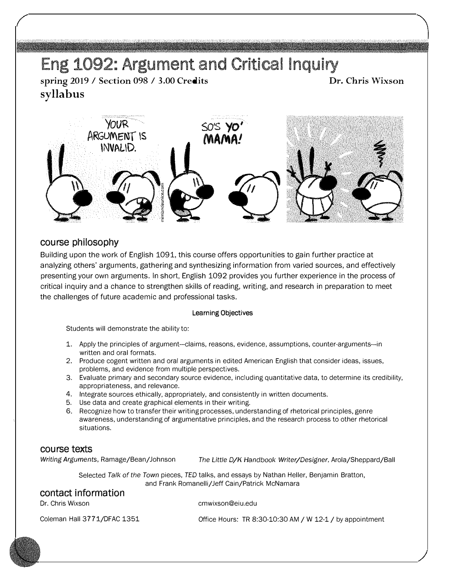# Eng 1092: Argument and Critical Inquiry

spring 2019 / Section 098 / 3.00 Credits syllabus

Dr. Chris Wixson



#### course philosophy

Building upon the work of English 1091, this course offers opportunities to gain further practice at analyzing others' arguments, gathering and synthesizing information from varied sources, and effectively presenting your own arguments. In short, English 1092 provides you further experience in the process of critical inquiry and a chance to strengthen skills of reading, writing, and research in preparation to meet the challenges of future academic and professional tasks.

#### Learning Objectives

Students will demonstrate the ability to:

- 1. Apply the principles of argument---claims, reasons, evidence, assumptions, counter-arguments--in written and oral formats.
- 2. Produce cogent written and oral arguments in edited American English that consider ideas, issues, problems, and evidence from multiple perspectives.
- 3. Evaluate primary and secondary source evidence, including quantitative data, to determine its credibility, appropriateness, and relevance.
- 4. Integrate sources ethically, appropriately, and consistently in written documents.
- 5. Use data and create graphical elements in their writing.
- 6. Recognize how to transfer their writing processes, understanding of rhetorical principles, genre awareness, understanding of argumentative principles, and the research process to other rhetorical situations.

#### course texts

Writing Arguments, Ramage/Bean/Johnson The Little D/K Handbook Writer/Designer, Arola/Sheppard/Ball

Selected Talk of the Town pieces, TED talks, and essays by Nathan Heller, Benjamin Bratton, and Frank Romanelli/ Jeff Cain/Patrick McNamara

#### contact information

Dr. Chris Wixson

cmwixson@eiu.edu

Coleman Hall 3771/DFAC 1351

Office Hours: TR 8:30-10:30 AM / W 12-1 / by appointment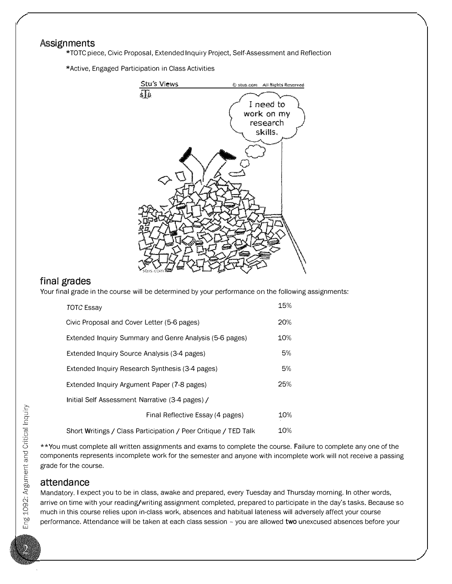## **Assignments**

\*TOTC piece, Civic Proposal, Extended Inquiry Project, Self-Assessment and Reflection

\*Active, Engaged Participation in Class Activities



## final grades

Your final grade in the course will be determined by your performance on the following assignments:

| TOTC Essay                                                      | 15% |
|-----------------------------------------------------------------|-----|
| Civic Proposal and Cover Letter (5-6 pages)                     | 20% |
| Extended Inquiry Summary and Genre Analysis (5-6 pages)         | 10% |
| Extended Inquiry Source Analysis (3-4 pages)                    | 5%  |
| Extended Inquiry Research Synthesis (3-4 pages)                 | 5%  |
| Extended Inquiry Argument Paper (7-8 pages)                     | 25% |
| Initial Self Assessment Narrative (3-4 pages) /                 |     |
| Final Reflective Essay (4 pages)                                | 10% |
| Short Writings / Class Participation / Peer Critique / TED Talk | 10% |

\*\*You must complete all written assignments and exams to complete the course. Failure to complete any one of the components represents incomplete work for the semester and anyone with incomplete work will not receive a passing grade for the course.

#### attendance

Mandatory. I expect you to be in class, awake and prepared, every Tuesday and Thursday morning. In other words, arrive on time with your reading/writing assignment completed, prepared to participate in the day's tasks. Because so much in this course relies upon in-class work, absences and habitual lateness will adversely affect your course performance. Attendance will be taken at each class session - you are allowed two unexcused absences before your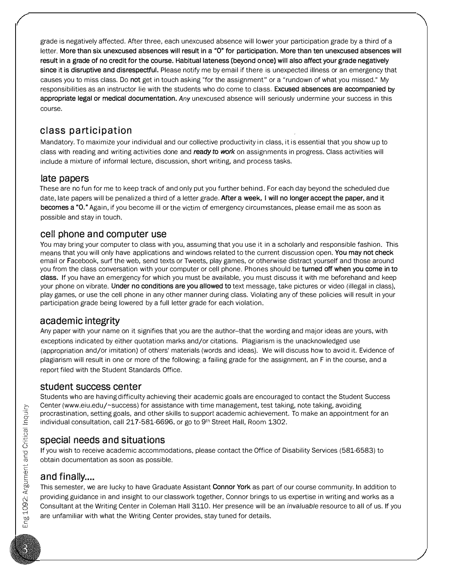grade is negatively affected. After three, each unexcused absence will lower your participation grade by a third of a letter. More than six unexcused absences will result in a "O" for participation. More than ten unexcused absences will result in a grade of no credit for the course. Habitual lateness (beyond once) will also affect your grade negatively since it is disruptive and disrespectful. Please notify me by email if there is unexpected illness or an emergency that causes you to miss class. Do not get in touch asking "for the assignment" or a "rundown of what you missed." My responsibilities as an instructor lie with the students who do come to class. Excused absences are accompanied by appropriate legal or medical documentation. Any unexcused absence will seriously undermine your success in this course.

## class participation

Mandatory. To maximize your individual and our collective productivity in class, it is essential that you show up to class with reading and writing activities done and ready to work on assignments in progress. Class activities will include a mixture of informal lecture, discussion, short writing, and process tasks.

## late papers

These are no fun for me to keep track of and only put you further behind. For each day beyond the scheduled due date, late papers will be penalized a third of a letter grade. After a week, I will no longer accept the paper, and it becomes a "O." Again, if you become ill or the victim of emergency circumstances, please email me as soon as possible and stay in touch.

## cell phone and computer use

You may bring your computer to class with you, assuming that you use it in a scholarly and responsible fashion. This means that you will only have applications and windows related to the current discussion open. You may not check email or Facebook, surf the web, send texts or Tweets, play games, or otherwise distract yourself and those around you from the class conversation with your computer or cell phone. Phones should be turned off when you come in to class. If you have an emergency for which you must be available, you must discuss it with me beforehand and keep your phone on vibrate. Under no conditions are you allowed to text message, take pictures or video (illegal in class), play games, or use the cell phone in any other manner during class. Violating any of these policies will result in your participation grade being lowered by a full letter grade for each violation.

## academic integrity

Any paper with your name on it signifies that you are the author--that the wording and major ideas are yours, with exceptions indicated by either quotation marks and/or citations. Plagiarism is the unacknowledged use (appropriation and/or imitation) of others' materials (words and ideas). We will discuss how to avoid it. Evidence of plagiarism will result in one or more of the following: a failing grade for the assignment, an F in the course, and a report filed with the Student Standards Office.

#### student success center

Students who are having difficulty achieving their academic goals are encouraged to contact the Student Success Center (www.eiu.edu/-success) for assistance with time management, test taking, note taking, avoiding procrastination, setting goals, and other skills to support academic achievement. To make an appointment for an individual consultation, call 217-581-6696, or go to 9<sup>th</sup> Street Hall, Room 1302.

## special needs and situations

If you wish to receive academic accommodations, please contact the Office of Disability Services (581-6583) to obtain documentation as soon as possible.

## and finally....

This semester, we are lucky to have Graduate Assistant Connor York as part of our course community. In addition to providing guidance in and insight to our classwork together, Connor brings to us expertise in writing and works as a Consultant at the Writing Center in Coleman Hall 3110. Her presence will be an invaluable resource to all of us. If you are unfamiliar with what the Writing Center provides, stay tuned for details.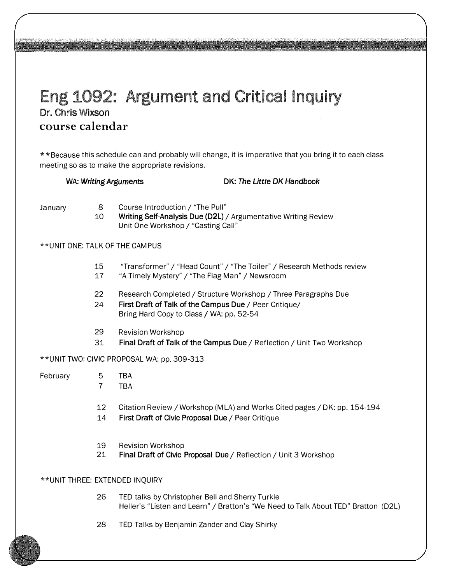## Eng 1092: Argument and Critical Inquiry Dr. Chris Wixson course calendar

\*\*Because this schedule can and probably will change, it is imperative that you bring it to each class meeting so as to make the appropriate revisions.

WA: Writing Arguments DK: The Little DK Handbook

January 8

10 Course Introduction/ "The Pull" Writing Self-Analysis Due (D2L) / Argumentative Writing Review Unit One Workshop/ "Casting Call"

#### \*\*UNIT ONE: TALK OF THE CAMPUS

- 15 "Transformer"/ "Head Count"/ "The Toiler"/ Research Methods review
- 17 "A Timely Mystery"/ "The Flag Man"/ Newsroom
- 22 Research Completed/ Structure Workshop/ Three Paragraphs Due
- 24 First Draft of Talk of the campus Due/ Peer Critique/ Bring Hard Copy to Class / WA: pp. 52-54
- 29 Revision Workshop
- 31 Final Draft of Talk of the campus Due/ Reflection/ Unit Two Workshop

\*\*UNIT TWO: CIVIC PROPOSAL WA: pp. 309-313

- February 5 TBA
	- 7 TBA
		- 12 Citation Review/ Workshop (MLA) and Works Cited pages/ DK: pp. 154-194
		- 14 First Draft of Civic Proposal Due/ Peer Critique
		- 19 Revision Workshop
		- 21 Final Draft of Civic Proposal Due / Reflection / Unit 3 Workshop

#### \*\*UNIT THREE: EXTENDED INQUIRY

- 26 TED talks by Christopher Bell and Sherry Turkle Heller's "Listen and Learn"/ Bratton's "We Need to Talk About TED" Bratton (D2L)
- 28 TED Talks by Benjamin Zander and Clay Shirky